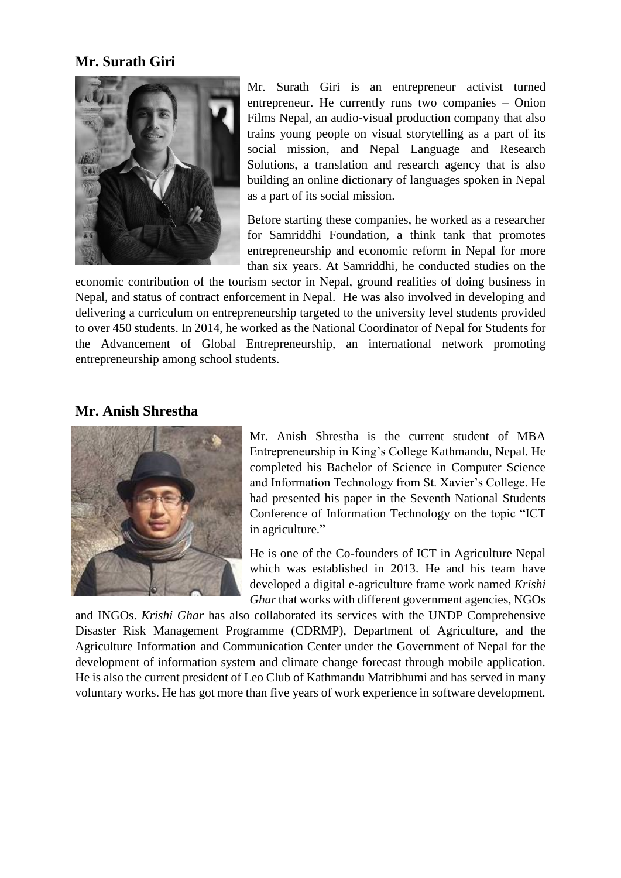## **Mr. Surath Giri**



Mr. Surath Giri is an entrepreneur activist turned entrepreneur. He currently runs two companies – Onion Films Nepal, an audio-visual production company that also trains young people on visual storytelling as a part of its social mission, and Nepal Language and Research Solutions, a translation and research agency that is also building an online dictionary of languages spoken in Nepal as a part of its social mission.

Before starting these companies, he worked as a researcher for Samriddhi Foundation, a think tank that promotes entrepreneurship and economic reform in Nepal for more than six years. At Samriddhi, he conducted studies on the

economic contribution of the tourism sector in Nepal, ground realities of doing business in Nepal, and status of contract enforcement in Nepal. He was also involved in developing and delivering a curriculum on entrepreneurship targeted to the university level students provided to over 450 students. In 2014, he worked as the National Coordinator of Nepal for Students for the Advancement of Global Entrepreneurship, an international network promoting entrepreneurship among school students.

## **Mr. Anish Shrestha**



Mr. Anish Shrestha is the current student of MBA Entrepreneurship in King's College Kathmandu, Nepal. He completed his Bachelor of Science in Computer Science and Information Technology from St. Xavier's College. He had presented his paper in the Seventh National Students Conference of Information Technology on the topic "ICT in agriculture."

He is one of the Co-founders of ICT in Agriculture Nepal which was established in 2013. He and his team have developed a digital e-agriculture frame work named *Krishi Ghar*that works with different government agencies, NGOs

and INGOs. *Krishi Ghar* has also collaborated its services with the UNDP Comprehensive Disaster Risk Management Programme (CDRMP), Department of Agriculture, and the Agriculture Information and Communication Center under the Government of Nepal for the development of information system and climate change forecast through mobile application. He is also the current president of Leo Club of Kathmandu Matribhumi and has served in many voluntary works. He has got more than five years of work experience in software development.